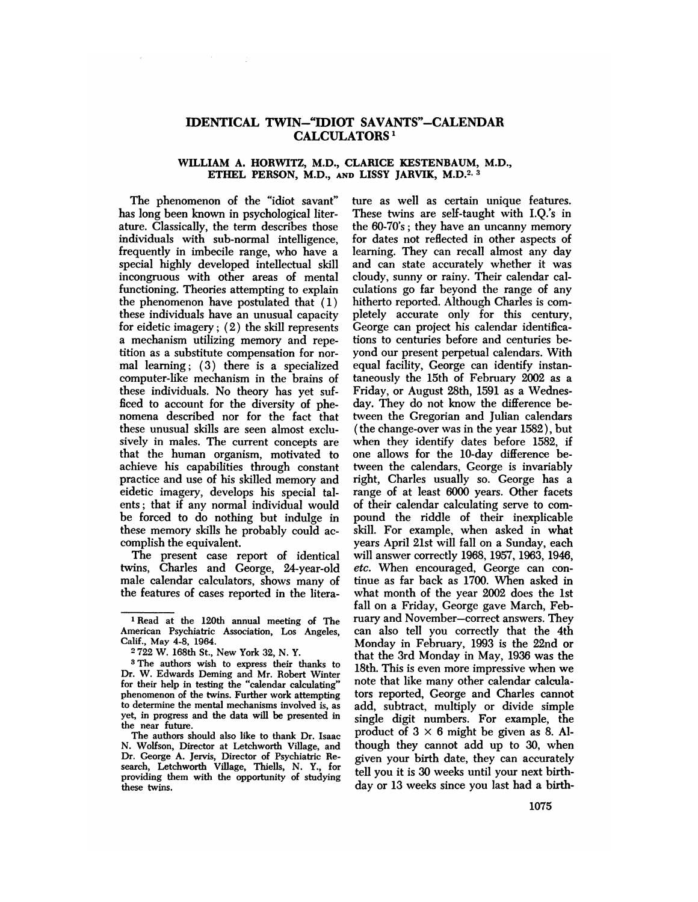## IDENTICAL **TWIN-"IDIOT SAVANTS"-CALENDAR CALCULATORS1**

## WILLIAM A. HORWITZ, M.D., CLARICE KESTENBAUM, M.D., ETHEL PERSON, M.D., AND LISSY JARVIK, M.D.<sup>2, 3</sup>

The phenomenon of the "idiot savant" has long been known in psychological literature. Classically, the term describes those individuals with sub-normal intelligence, frequently in imbecile range, who have a special highly developed intellectual skill incongruous with other areas of mental functioning. Theories attempting to explain the phenomenon have postulated that (1) these individuals have an unusual capacity for eidetic imagery; (2) the skill represents a mechanism utilizing memory and repetition as a substitute compensation for normal learning; (3) there is a specialized computer-like mechanism in the brains of these individuals. No theory has yet sufficed to account for the diversity of phenomena described nor for the fact that these unusual skills are seen almost exclusively in males. The current concepts are that the human organism, motivated to achieve his capabilities through constant practice and use of his skilled memory and eidetic imagery, develops his special talents; that if any normal individual would be forced to do nothing but indulge in these memory skills he probably could accomplish the equivalent.

The present case report of identical twins, Charles and George, 24-year-old male calendar calculators, shows many of the features of cases reported in the literature as well as certain unique features. These twins are self-taught with I.Q.'s in the 60-70's; they have an uncanny memory for dates not reflected in other aspects of learning. They can recall almost any day and can state accurately whether it was cloudy, sunny or rainy. Their calendar calculations go far beyond the range of any hitherto reported. Although Charles is completely accurate only for this century, George can project his calendar identifications to centuries before and centuries beyond our present perpetual calendars. With equal facility, George can identify instantaneously the 15th of February 2002 as a Friday, or August 28th, 1591 as a Wednesday. They do not know the difference between the Gregorian and Julian calendars (the change-over was in the year 1582), but when they identify dates before 1582, if one allows for the 10-day difference between the calendars, George is invariably right, Charles usually so. George has a range of at least 6000 years. Other facets of their calendar calculating serve to compound the riddle of their inexplicable skill. For example, when asked in what years April 21st will fall on a Sunday, each will answer correctly 1968, 1957, 1963, 1946, *etc.* When encouraged, George can continue as far back as 1700. When asked in what month of the year 2002 does the 1st fall on a Friday, George gave March, February and November-correct answers. They can also tell you correctly that the 4th Monday in February, 1993 is the 22nd or that the 3rd Monday in May, 1936 was the 18th. This is even more impressive when we note that like many other calendar calculators reported, George and Charles cannot add, subtract, multiply or divide simple single digit numbers. For example, the product of  $3 \times 6$  might be given as 8. Although they cannot add up to 30, when given your birth date, they can accurately tell you it is 30 weeks until your next birthday or 13 weeks since you last had a birth-

<sup>&#</sup>x27;Read at the 120th annual meeting of The American Psychiatric Association, Los Angeles, Calif., May 4-8, 1964.

<sup>2722</sup> W. 168th St., New York 32, N. Y.

<sup>3</sup>The authors wish to express their thanks to Dr. W. Edwards Deming and Mr. Robert Winter for their help in testing the "calendar calculating" phenomenon of the twins. Further work attempting to determine the mental mechanisms involved is, as yet, in progress and the data will be presented in the near future.

The authors should also like to thank Dr. Isaac N. Wolfson, Director at Letchworth Village, and Dr. George **A.** Jervis, Director of Psychiatric Research, Letchworth Village, Thiells, N. Y., for providing them with the opportunity of studying these twins.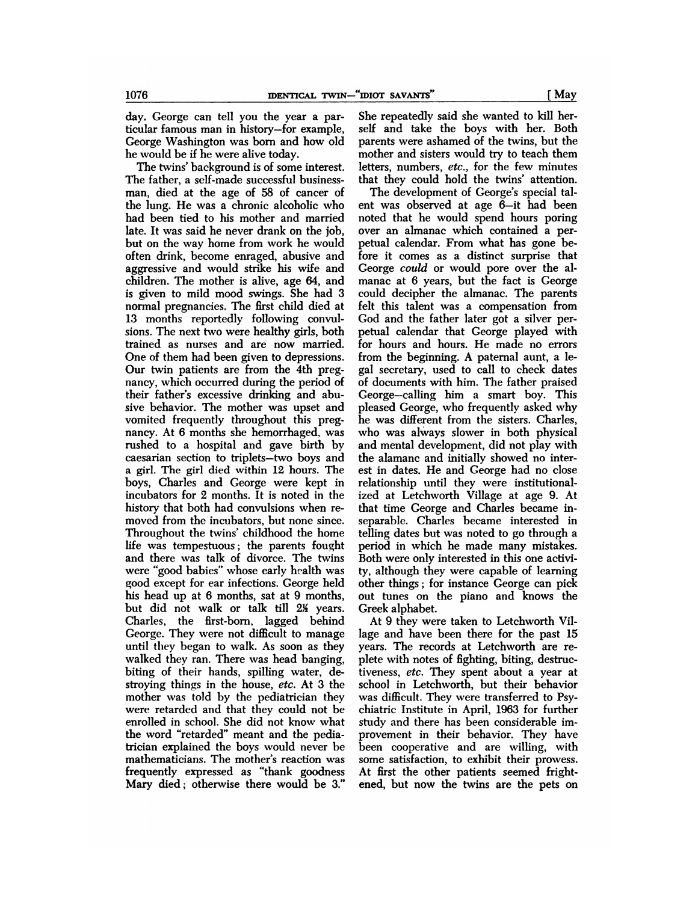day. George can tell you the year a particular famous man in history-for example, George Washington was born and how old he would be if he were alive today.

The twins' background is of some interest. The father, a self-made successful businessman, died at the age of 58 of cancer of the lung. He was a chronic alcoholic who had been tied to his mother and married late. It was said he never drank on the job, but on the way home from work he would often drink, become enraged, abusive and aggressive and would strike his wife and children. The mother is alive, age 64, and is given to mild mood swings. She had 3 normal pregnancies. The first child died at 13 months reportedly following convulsions. The next two were healthy girls, both trained as nurses and are now married. One of them had been given to depressions. Our twin patients are from the 4th pregnancy, which occurred during the period of their father's excessive drinking and abusive behavior. The mother was upset and vomited frequently throughout this pregnancy. At 6 months she hemorrhaged, was rushed to a hospital and gave birth by caesarian section to triplets-two boys and a girl. The girl died within 12 hours. The boys, Charles and George were kept in incubators for 2 months. It is noted in the history that both had convulsions when removed from the incubators, but none since. Throughout the twins' childhood the home life was tempestuous; the parents fought and there was talk of divorce. The twins were "good babies" whose early health was good except for ear infections. George held his head up at 6 months, sat at 9 months, but did not walk or talk till 2% years. Charles, the first-born, lagged behind George. They were not difficult to manage until they began to walk. As soon as they walked they ran. There was head banging, biting of their hands, spilling water, destroying things in the house, *etc.* At 3 the mother was told by the pediatrician they were retarded and that they could not be enrolled in school. She did not know what the word "retarded" meant and the pediatrician explained the boys would never be mathematicians. The mother's reaction was frequently expressed as "thank goodness Mary died; otherwise there would be 3."

She repeatedly said she wanted to kill herself and take the boys with her. Both parents were ashamed of the twins, but the mother and sisters would try to teach them letters, numbers, *etc.,* for the few minutes that they could hold the twins' attention.

The development of George's special talent was observed at age 6-it had been noted that he would spend hours poring over an almanac which contained a perpetual calendar. From what has gone before it comes as a distinct surprise that George *could* or would pore over the almanac at 6 years, but the fact is George could decipher the almanac. The parents felt this talent was a compensation from God and the father later got a silver perpetual calendar that George played with for hours and hours. He made no errors from the beginning. A paternal aunt, a legal secretary, used to call to check dates of documents with him. The father praised George-calling him a smart boy. This pleased George, who frequently asked why he was different from the sisters. Charles, who was always slower in both physical and mental development, did not play with the alamanc and initially showed no interest in dates. He and George had no close relationship until they were institutionalized at Letchworth Village at age 9. At that time George and Charles became inseparable. Charles became interested in telling dates but was noted to go through a period in which he made many mistakes. Both were only interested in this one activity, although they were capable of learning other things; for instance George can pick out tunes on the piano and knows the Greek alphabet.

At 9 they were taken to Letchworth Village and have been there for the past 15 years. The records at Letchworth are replete with notes of fighting, biting, destructiveness, *etc.* They spent about a year at school in Letchworth, but their behavior was difficult. They were transferred to Psychiatric Institute in April, 1963 for further study and there has been considerable improvement in their behavior. They have been cooperative and are willing, with some satisfaction, to exhibit their prowess. At first the other patients seemed frightened, but now the twins are the pets on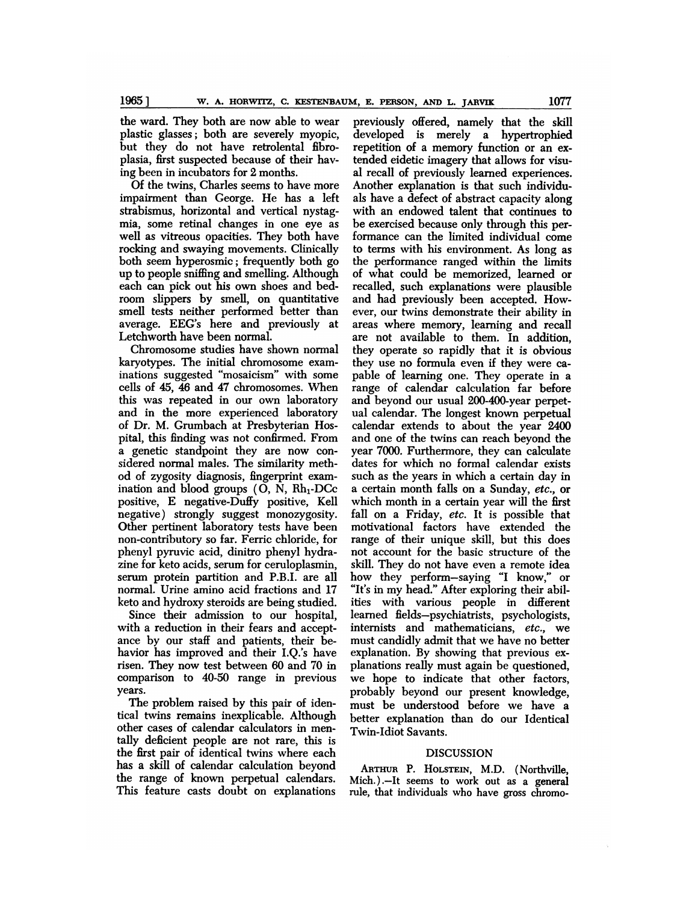the ward. They both are now able to wear plastic glasses; both are severely myopic, but they do not have retrolental fibroplasia, first suspected because of their having been in incubators for 2 months.

Of the twins, Charles seems to have more impairment than George. He has a left strabismus, horizontal and vertical nystagmia, some retinal changes in one eye as well as vitreous opacities. They both have rocking and swaying movements. Clinically both seem hyperosmic; frequently both go up to people sniffing and smelling. Although each can pick out his own shoes and bedroom slippers by smell, on quantitative smell tests neither performed better than average. EEC's here and previously at Letchworth have been normal.

Chromosome studies have shown normal karyotypes. The initial chromosome examinations suggested "mosaicism" with some cells of 45, 46 and 47 chromosomes. When this was repeated in our own laboratory and in the more experienced laboratory of Dr. M. Grumbach at Presbyterian Hospital, this finding was not confirmed. From a genetic standpoint they are now considered normal males. The similarity method of zygosity diagnosis, fingerprint examination and blood groups (O, N, Rh<sub>1</sub>-DCc positive, E negative-Duffy positive, Kell negative) strongly suggest monozygosity. Other pertinent laboratory tests have been non-contributory so far. Ferric chloride, for phenyl pyruvic acid, dinitro phenyl hydrazine for keto acids, serum for ceruloplasmin, serum protein partition and P.B.I. are all normal. Urine amino acid fractions and 17 keto and hydroxy steroids are being studied.

Since their admission to our hospital, with a reduction in their fears and acceptance by our staff and patients, their behavior has improved and their I.Q.'s have risen. They now test between 60 and 70 in comparison to 40-50 range in previous years.

The problem raised by this pair of identical twins remains inexplicable. Although other cases of calendar calculators in mentally deficient people are not rare, this is the first pair of identical twins where each has a skill of calendar calculation beyond the range of known perpetual calendars. This feature casts doubt on explanations

previously offered, namely that the skill developed is merely a hypertrophied repetition of a memory function or an extended eidetic imagery that allows for visual recall of previously learned experiences. Another explanation is that such individuals have a defect of abstract capacity along with an endowed talent that continues to be exercised because only through this performance can the limited individual come to terms with his environment. As long as the performance ranged within the limits of what could be memorized, learned or recalled, such explanations were plausible and had previously been accepted. However, our twins demonstrate their ability in areas where memory, learning and recall are not available to them. In addition, they operate so rapidly that it is obvious they use no formula even if they were capable of learning one. They operate in a range of calendar calculation far before and beyond our usual 200-400-year perpetual calendar. The longest known perpetual calendar extends to about the year 2400 and one of the twins can reach beyond the year 7000. Furthermore, they can calculate dates for which no formal calendar exists such as the years in which a certain day in a certain month falls on a Sunday, *etc.,* or which month in a certain year will the first fall on a Friday, *etc.* It is possible that motivational factors have extended the range of their unique skill, but this does not account for the basic structure of the skill. They do not have even a remote idea how they perform-saying "I know," or "It's in my head." After exploring their abilities with various people in different learned fields-psychiatrists, psychologists, internists and mathematicians, *etc.,* we must candidly admit that we have no better explanation. By showing that previous explanations really must again be questioned, we hope to indicate that other factors, probably beyond our present knowledge, must be understood before we have a better explanation than do our Identical Twin-Idiot Savants.

## DISCUSSION

ARTHUR P. HOLSTEIN, M.D. (Northville, Mich.) .-It seems to work out as a general rule, that individuals who have gross chromo-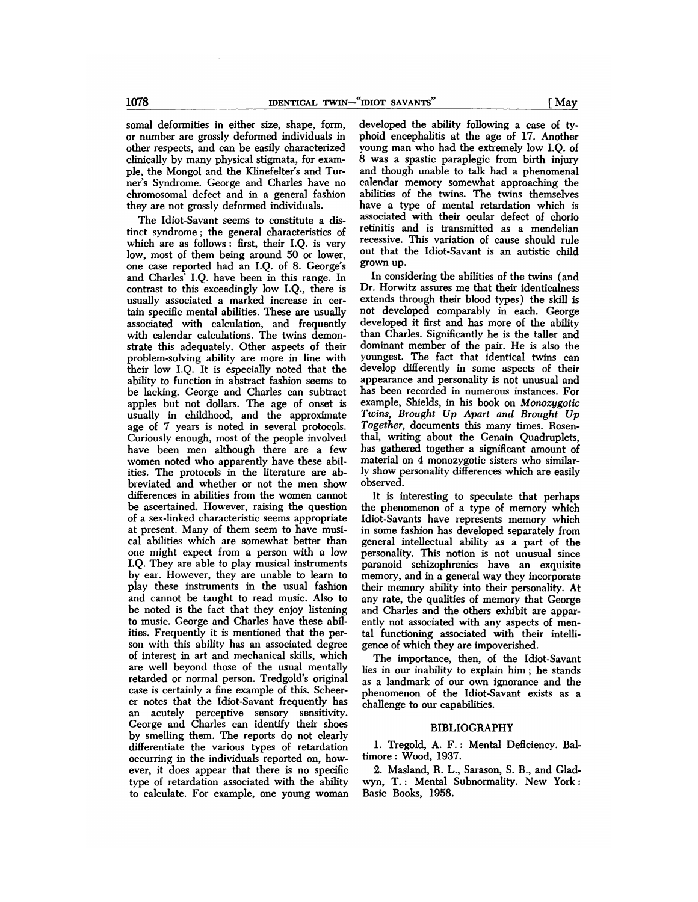somal deformities in either size, shape, form, or number are grossly deformed individuals in other respects, and can be easily characterized clinically by many physical stigmata, for example, the Mongol and the Klinefelter's and Turner's Syndrome. George and Charles have no chromosomal defect and in a general fashion they are not grossly deformed individuals.

The Idiot-Savant seems to constitute a distinct syndrome; the general characteristics of which are as follows: first, their I.Q. is very low, most of them being around 50 or lower, one case reported had an I.Q. of 8. George's and Charles' I.Q. have been in this range. In contrast to this exceedingly low I.Q., there is usually associated a marked increase in certain specific mental abilities. These are usually associated with calculation, and frequently with calendar calculations. The twins demonstrate this adequately. Other aspects of their problem-solving ability are more in line with their low I.Q. It is especially noted that the ability to function in abstract fashion seems to be lacking. George and Charles can subtract apples but not dollars. The age of onset is usually in childhood, and the approxim age of 7 years is noted in several protoc Curiously enough, most of the people involved have been men although there are a few women noted who apparently have these abilities. The protocols in the literature are abbreviated and whether or not the men show differences in abilities from the women cannot be ascertained. However, raising the question of a sex-linked characteristic seems appropriate at present. Many of them seem to have musical abilities which are somewhat better than one might expect from a person with a low I.Q. They are able to play musical instruments by ear. However, they are unable to learn to play these instruments in the usual fashion and cannot be taught to read music. Also to be noted is the fact that they enjoy listening to music. George and Charles have these abilities. Frequently it is mentioned that the person with this ability has an associated degree of interest in art and mechanical skills, which are well beyond those of the usual mentally retarded or normal person. Tredgold's original case is certainly a fine example of this. Scheerer notes that the Idiot-Savant frequently has an acutely perceptive sensory sensitivity. George and Charles can identify their shoes by smelling them. The reports do not clearly differentiate the various types of retardation occurring in the individuals reported on, however, it does appear that there is no specffic type of retardation associated with the ability to calculate. For example, one young woman developed the ability following a case of typhoid encephalitis at the age of 17. Another young man who had the extremely low I.Q. of 8 was a spastic paraplegic from birth injury and though unable to talk had a phenomenal calendar memory somewhat approaching the abilities of the twins. The twins themselves have a type of mental retardation which is associated with their ocular defect of chorio retinitis and is transmitted as a mendelian recessive. This variation of cause should rule out that the Idiot-Savant is an autistic child grown up.

In considering the abilities of the twins (and Dr. Horwitz assures me that their identicalness extends through their blood types) the skill is not developed comparably in each. George developed it first and has more of the ability than Charles. Significantly he is the taller and dominant member of the pair. He is also the youngest. The fact that identical twins can develop differently in some aspects of their appearance and personality is not unusual and has been recorded in numerous instances. For example, Shields, in his book on *Monozygotic Twins, Brought Up Apart and Brought Up Together,* documents this many times. Rosenthal, writing about the Genain Quadruplets, has gathered together a significant amount of material on 4 monozygotic sisters who similarly show personality differences which are easily observed.

It is interesting to speculate that perhaps the phenomenon of a type of memory which Idiot-Savants have represents memory which in some fashion has developed separately from general intellectual ability as a part of the personality. This notion is not unusual since paranoid schizophrenics have an exquisite memory, and in a general way they incorporate their memory ability into their personality. At any rate, the qualities of memory that George and Charles and the others exhibit are apparently not associated with any aspects of mental functioning associated with their intelligence of which they are impoverished.

The importance, then, of the Idiot-Savant lies in our inability to explain him; he stands as a landmark of our own ignorance and the phenomenon of the Idiot-Savant exists as a challenge to our capabilities.

## BIBLIOGRAPHY

1. Tregold, A. F.: Mental Deficiency. Baltimore: Wood, 1937.

2. Masland, R. L., Sarason, S. B., and Gladwyn, T.: Mental Subnormality. New York: Basic Books, 1958.